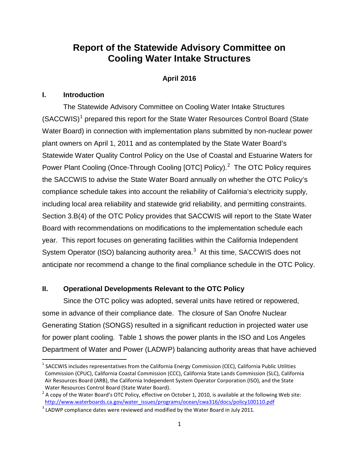# **Report of the Statewide Advisory Committee on Cooling Water Intake Structures**

# **April 2016**

# **I. Introduction**

The Statewide Advisory Committee on Cooling Water Intake Structures (SACCWIS)<sup>[1](#page-0-0)</sup> prepared this report for the State Water Resources Control Board (State Water Board) in connection with implementation plans submitted by non-nuclear power plant owners on April 1, 2011 and as contemplated by the State Water Board's Statewide Water Quality Control Policy on the Use of Coastal and Estuarine Waters for Power Plant Cooling (Once-Through Cooling [OTC] Policy).<sup>[2](#page-0-1)</sup> The OTC Policy requires the SACCWIS to advise the State Water Board annually on whether the OTC Policy's compliance schedule takes into account the reliability of California's electricity supply, including local area reliability and statewide grid reliability, and permitting constraints. Section 3.B(4) of the OTC Policy provides that SACCWIS will report to the State Water Board with recommendations on modifications to the implementation schedule each year. This report focuses on generating facilities within the California Independent System Operator (ISO) balancing authority area.<sup>[3](#page-0-2)</sup> At this time, SACCWIS does not anticipate nor recommend a change to the final compliance schedule in the OTC Policy.

# **II. Operational Developments Relevant to the OTC Policy**

Since the OTC policy was adopted, several units have retired or repowered, some in advance of their compliance date. The closure of San Onofre Nuclear Generating Station (SONGS) resulted in a significant reduction in projected water use for power plant cooling. Table 1 shows the power plants in the ISO and Los Angeles Department of Water and Power (LADWP) balancing authority areas that have achieved

<span id="page-0-0"></span> $1$  SACCWIS includes representatives from the California Energy Commission (CEC), California Public Utilities Commission (CPUC), California Coastal Commission (CCC), California State Lands Commission (SLC), California Air Resources Board (ARB), the California Independent System Operator Corporation (ISO), and the State Water Resources Control Board (State Water Board).

<span id="page-0-1"></span> $2^2$  A copy of the Water Board's OTC Policy, effective on October 1, 2010, is available at the following Web site: [http://www.waterboards.ca.gov/water\\_issues/programs/ocean/cwa316/docs/policy100110.pdf](http://www.waterboards.ca.gov/water_issues/programs/ocean/cwa316/docs/policy100110.pdf)

<span id="page-0-2"></span> $3$  LADWP compliance dates were reviewed and modified by the Water Board in July 2011.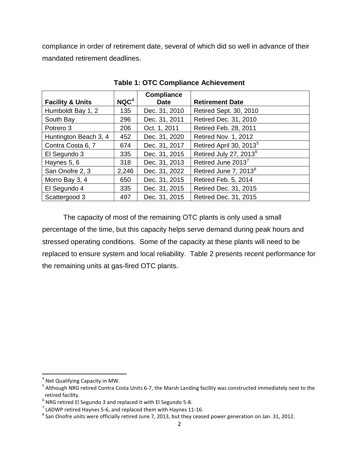compliance in order of retirement date, several of which did so well in advance of their mandated retirement deadlines.

|                             |                  | <b>Compliance</b> |                                     |
|-----------------------------|------------------|-------------------|-------------------------------------|
| <b>Facility &amp; Units</b> | NQC <sup>4</sup> | <b>Date</b>       | <b>Retirement Date</b>              |
| Humboldt Bay 1, 2           | 135              | Dec. 31, 2010     | Retired Sept. 30, 2010              |
| South Bay                   | 296              | Dec. 31, 2011     | Retired Dec. 31, 2010               |
| Potrero 3                   | 206              | Oct. 1, 2011      | Retired Feb. 28, 2011               |
| Huntington Beach 3, 4       | 452              | Dec. 31, 2020     | <b>Retired Nov. 1, 2012</b>         |
| Contra Costa 6, 7           | 674              | Dec. 31, 2017     | Retired April 30, 2013 <sup>5</sup> |
| El Segundo 3                | 335              | Dec. 31, 2015     | Retired July 27, 2013 <sup>6</sup>  |
| Haynes 5, 6                 | 318              | Dec. 31, 2013     | Retired June 2013 <sup>7</sup>      |
| San Onofre 2, 3             | 2,246            | Dec. 31, 2022     | Retired June 7, 2013 <sup>8</sup>   |
| Morro Bay 3, 4              | 650              | Dec. 31, 2015     | Retired Feb. 5, 2014                |
| El Segundo 4                | 335              | Dec. 31, 2015     | Retired Dec. 31, 2015               |
| Scattergood 3               | 497              | Dec. 31, 2015     | Retired Dec. 31, 2015               |

**Table 1: OTC Compliance Achievement**

The capacity of most of the remaining OTC plants is only used a small percentage of the time, but this capacity helps serve demand during peak hours and stressed operating conditions. Some of the capacity at these plants will need to be replaced to ensure system and local reliability. Table 2 presents recent performance for the remaining units at gas-fired OTC plants.

<span id="page-1-1"></span><span id="page-1-0"></span><sup>&</sup>lt;sup>4</sup> Net Qualifying Capacity in MW.<br><sup>5</sup> Although NRG retired Contra Costa Units 6-7, the Marsh Landing facility was constructed immediately next to the retired facility.<br> $^6$  NRG retired El Segundo 3 and replaced it with El Segundo 5-8.

<span id="page-1-2"></span>

<span id="page-1-4"></span><span id="page-1-3"></span> $^7$  LADWP retired Haynes 5-6, and replaced them with Haynes 11-16.<br> $^8$  San Onofre units were officially retired June 7, 2013, but they ceased power generation on Jan. 31, 2012.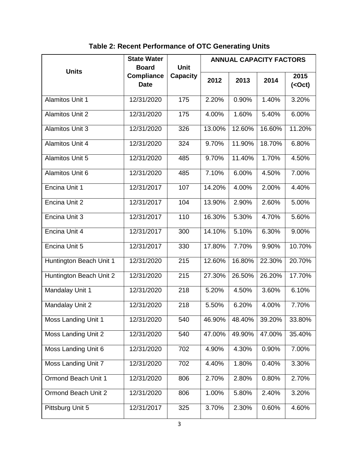|                         | <b>State Water</b>               | <b>Unit</b><br><b>Board</b> |        | <b>ANNUAL CAPACITY FACTORS</b> |        |                               |  |
|-------------------------|----------------------------------|-----------------------------|--------|--------------------------------|--------|-------------------------------|--|
| <b>Units</b>            | <b>Compliance</b><br><b>Date</b> | <b>Capacity</b>             | 2012   | 2013                           | 2014   | 2015<br>( <oct< u="">)</oct<> |  |
| <b>Alamitos Unit 1</b>  | 12/31/2020                       | $\frac{175}{175}$           | 2.20%  | $0.90\%$                       | 1.40%  | 3.20%                         |  |
| <b>Alamitos Unit 2</b>  | 12/31/2020                       | 175                         | 4.00%  | 1.60%                          | 5.40%  | 6.00%                         |  |
| <b>Alamitos Unit 3</b>  | 12/31/2020                       | 326                         | 13.00% | 12.60%                         | 16.60% | 11.20%                        |  |
| <b>Alamitos Unit 4</b>  | 12/31/2020                       | 324                         | 9.70%  | 11.90%                         | 18.70% | 6.80%                         |  |
| <b>Alamitos Unit 5</b>  | 12/31/2020                       | 485                         | 9.70%  | 11.40%                         | 1.70%  | 4.50%                         |  |
| Alamitos Unit 6         | 12/31/2020                       | 485                         | 7.10%  | 6.00%                          | 4.50%  | 7.00%                         |  |
| Encina Unit 1           | 12/31/2017                       | 107                         | 14.20% | 4.00%                          | 2.00%  | 4.40%                         |  |
| Encina Unit 2           | 12/31/2017                       | 104                         | 13.90% | 2.90%                          | 2.60%  | 5.00%                         |  |
| Encina Unit 3           | 12/31/2017                       | 110                         | 16.30% | 5.30%                          | 4.70%  | 5.60%                         |  |
| Encina Unit 4           | 12/31/2017                       | 300                         | 14.10% | 5.10%                          | 6.30%  | 9.00%                         |  |
| Encina Unit 5           | 12/31/2017                       | 330                         | 17.80% | 7.70%                          | 9.90%  | 10.70%                        |  |
| Huntington Beach Unit 1 | 12/31/2020                       | 215                         | 12.60% | 16.80%                         | 22.30% | 20.70%                        |  |
| Huntington Beach Unit 2 | 12/31/2020                       | 215                         | 27.30% | 26.50%                         | 26.20% | 17.70%                        |  |
| Mandalay Unit 1         | 12/31/2020                       | 218                         | 5.20%  | 4.50%                          | 3.60%  | 6.10%                         |  |
| Mandalay Unit 2         | 12/31/2020                       | 218                         | 5.50%  | 6.20%                          | 4.00%  | 7.70%                         |  |
| Moss Landing Unit 1     | 12/31/2020                       | 540                         | 46.90% | 48.40%                         | 39.20% | 33.80%                        |  |
| Moss Landing Unit 2     | 12/31/2020                       | 540                         | 47.00% | 49.90%                         | 47.00% | 35.40%                        |  |
| Moss Landing Unit 6     | 12/31/2020                       | 702                         | 4.90%  | 4.30%                          | 0.90%  | 7.00%                         |  |
| Moss Landing Unit 7     | 12/31/2020                       | 702                         | 4.40%  | 1.80%                          | 0.40%  | 3.30%                         |  |
| Ormond Beach Unit 1     | 12/31/2020                       | 806                         | 2.70%  | 2.80%                          | 0.80%  | 2.70%                         |  |
| Ormond Beach Unit 2     | 12/31/2020                       | 806                         | 1.00%  | 5.80%                          | 2.40%  | 3.20%                         |  |
| Pittsburg Unit 5        | 12/31/2017                       | 325                         | 3.70%  | 2.30%                          | 0.60%  | 4.60%                         |  |

**Table 2: Recent Performance of OTC Generating Units**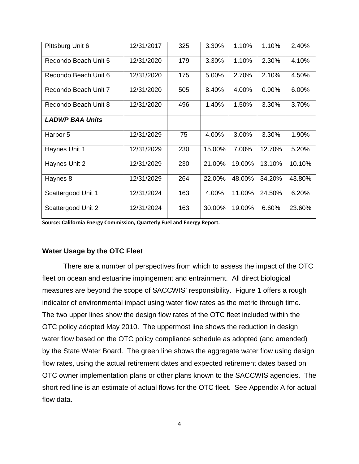| Pittsburg Unit 6       | 12/31/2017 | 325 | 3.30%  | 1.10%  | 1.10%  | 2.40%  |
|------------------------|------------|-----|--------|--------|--------|--------|
| Redondo Beach Unit 5   | 12/31/2020 | 179 | 3.30%  | 1.10%  | 2.30%  | 4.10%  |
| Redondo Beach Unit 6   | 12/31/2020 | 175 | 5.00%  | 2.70%  | 2.10%  | 4.50%  |
| Redondo Beach Unit 7   | 12/31/2020 | 505 | 8.40%  | 4.00%  | 0.90%  | 6.00%  |
| Redondo Beach Unit 8   | 12/31/2020 | 496 | 1.40%  | 1.50%  | 3.30%  | 3.70%  |
| <b>LADWP BAA Units</b> |            |     |        |        |        |        |
| Harbor 5               | 12/31/2029 | 75  | 4.00%  | 3.00%  | 3.30%  | 1.90%  |
| Haynes Unit 1          | 12/31/2029 | 230 | 15.00% | 7.00%  | 12.70% | 5.20%  |
| Haynes Unit 2          | 12/31/2029 | 230 | 21.00% | 19.00% | 13.10% | 10.10% |
| Haynes 8               | 12/31/2029 | 264 | 22.00% | 48.00% | 34.20% | 43.80% |
| Scattergood Unit 1     | 12/31/2024 | 163 | 4.00%  | 11.00% | 24.50% | 6.20%  |
| Scattergood Unit 2     | 12/31/2024 | 163 | 30.00% | 19.00% | 6.60%  | 23.60% |

**Source: California Energy Commission, Quarterly Fuel and Energy Report.**

## **Water Usage by the OTC Fleet**

There are a number of perspectives from which to assess the impact of the OTC fleet on ocean and estuarine impingement and entrainment. All direct biological measures are beyond the scope of SACCWIS' responsibility. Figure 1 offers a rough indicator of environmental impact using water flow rates as the metric through time. The two upper lines show the design flow rates of the OTC fleet included within the OTC policy adopted May 2010. The uppermost line shows the reduction in design water flow based on the OTC policy compliance schedule as adopted (and amended) by the State Water Board. The green line shows the aggregate water flow using design flow rates, using the actual retirement dates and expected retirement dates based on OTC owner implementation plans or other plans known to the SACCWIS agencies. The short red line is an estimate of actual flows for the OTC fleet. See Appendix A for actual flow data.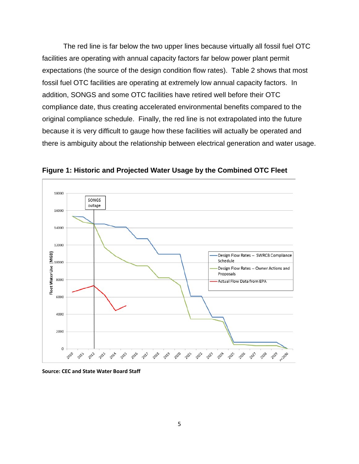The red line is far below the two upper lines because virtually all fossil fuel OTC facilities are operating with annual capacity factors far below power plant permit expectations (the source of the design condition flow rates). Table 2 shows that most fossil fuel OTC facilities are operating at extremely low annual capacity factors. In addition, SONGS and some OTC facilities have retired well before their OTC compliance date, thus creating accelerated environmental benefits compared to the original compliance schedule. Finally, the red line is not extrapolated into the future because it is very difficult to gauge how these facilities will actually be operated and there is ambiguity about the relationship between electrical generation and water usage.



**Figure 1: Historic and Projected Water Usage by the Combined OTC Fleet**

**Source: CEC and State Water Board Staff**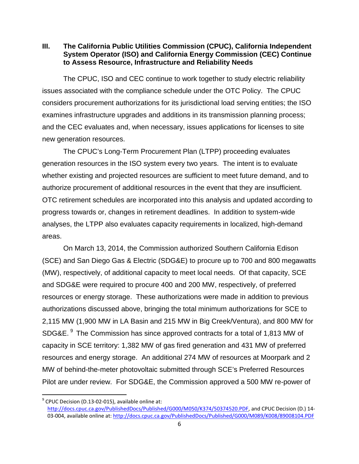**III. The California Public Utilities Commission (CPUC), California Independent System Operator (ISO) and California Energy Commission (CEC) Continue to Assess Resource, Infrastructure and Reliability Needs**

The CPUC, ISO and CEC continue to work together to study electric reliability issues associated with the compliance schedule under the OTC Policy. The CPUC considers procurement authorizations for its jurisdictional load serving entities; the ISO examines infrastructure upgrades and additions in its transmission planning process; and the CEC evaluates and, when necessary, issues applications for licenses to site new generation resources.

The CPUC's Long-Term Procurement Plan (LTPP) proceeding evaluates generation resources in the ISO system every two years. The intent is to evaluate whether existing and projected resources are sufficient to meet future demand, and to authorize procurement of additional resources in the event that they are insufficient. OTC retirement schedules are incorporated into this analysis and updated according to progress towards or, changes in retirement deadlines. In addition to system-wide analyses, the LTPP also evaluates capacity requirements in localized, high-demand areas.

On March 13, 2014, the Commission authorized Southern California Edison (SCE) and San Diego Gas & Electric (SDG&E) to procure up to 700 and 800 megawatts (MW), respectively, of additional capacity to meet local needs. Of that capacity, SCE and SDG&E were required to procure 400 and 200 MW, respectively, of preferred resources or energy storage. These authorizations were made in addition to previous authorizations discussed above, bringing the total minimum authorizations for SCE to 2,115 MW (1,900 MW in LA Basin and 215 MW in Big Creek/Ventura), and 800 MW for SDG&E. [9](#page-5-0) The Commission has since approved contracts for a total of 1,813 MW of capacity in SCE territory: 1,382 MW of gas fired generation and 431 MW of preferred resources and energy storage. An additional 274 MW of resources at Moorpark and 2 MW of behind-the-meter photovoltaic submitted through SCE's Preferred Resources Pilot are under review. For SDG&E, the Commission approved a 500 MW re-power of

<span id="page-5-0"></span> $<sup>9</sup>$  CPUC Decision (D.13-02-015), available online at:</sup> [http://docs.cpuc.ca.gov/PublishedDocs/Published/G000/M050/K374/50374520.PDF,](http://docs.cpuc.ca.gov/PublishedDocs/Published/G000/M050/K374/50374520.PDF) and CPUC Decision (D.) 14 03-004, available online at:<http://docs.cpuc.ca.gov/PublishedDocs/Published/G000/M089/K008/89008104.PDF>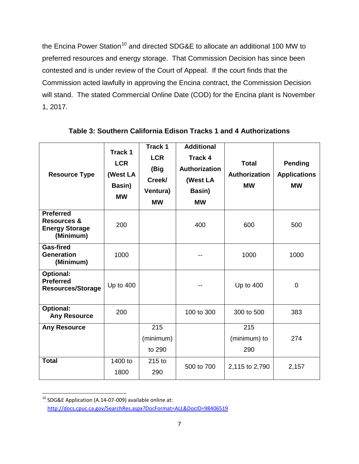the Encina Power Station<sup>[10](#page-6-0)</sup> and directed SDG&E to allocate an additional 100 MW to preferred resources and energy storage. That Commission Decision has since been contested and is under review of the Court of Appeal. If the court finds that the Commission acted lawfully in approving the Encina contract, the Commission Decision will stand. The stated Commercial Online Date (COD) for the Encina plant is November 1, 2017.

| <b>Resource Type</b>                                                             | Track 1<br><b>LCR</b><br>(West LA<br>Basin)<br><b>MW</b> | Track 1<br><b>LCR</b><br>(Big<br>Creek/<br>Ventura)<br><b>MW</b> | <b>Additional</b><br><b>Track 4</b><br>Authorization<br>(West LA<br>Basin)<br><b>MW</b> | <b>Total</b><br>Authorization<br><b>MW</b> | <b>Pending</b><br><b>Applications</b><br><b>MW</b> |
|----------------------------------------------------------------------------------|----------------------------------------------------------|------------------------------------------------------------------|-----------------------------------------------------------------------------------------|--------------------------------------------|----------------------------------------------------|
| <b>Preferred</b><br><b>Resources &amp;</b><br><b>Energy Storage</b><br>(Minimum) | 200                                                      |                                                                  | 400                                                                                     | 600                                        | 500                                                |
| <b>Gas-fired</b><br><b>Generation</b><br>(Minimum)                               | 1000                                                     |                                                                  |                                                                                         | 1000                                       | 1000                                               |
| <b>Optional:</b><br><b>Preferred</b><br><b>Resources/Storage</b>                 | Up to 400                                                |                                                                  |                                                                                         | Up to 400                                  | $\overline{0}$                                     |
| <b>Optional:</b><br><b>Any Resource</b>                                          | 200                                                      |                                                                  | 100 to 300                                                                              | 300 to 500                                 | 383                                                |
| <b>Any Resource</b>                                                              |                                                          | 215<br>(minimum)<br>to 290                                       |                                                                                         | 215<br>(minimum) to<br>290                 | 274                                                |
| <b>Total</b>                                                                     | 1400 to<br>1800                                          | 215 to<br>290                                                    | 500 to 700                                                                              | 2,115 to 2,790                             | 2,157                                              |

**Table 3: Southern California Edison Tracks 1 and 4 Authorizations**

<span id="page-6-0"></span><sup>&</sup>lt;sup>10</sup> SDG&E Application (A.14-07-009) available online at: <http://docs.cpuc.ca.gov/SearchRes.aspx?DocFormat=ALL&DocID=98406519>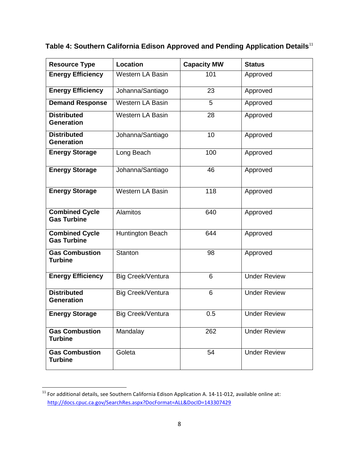| <b>Resource Type</b>                        | Location                | <b>Capacity MW</b> | <b>Status</b>       |
|---------------------------------------------|-------------------------|--------------------|---------------------|
| <b>Energy Efficiency</b>                    | <b>Western LA Basin</b> | 101                | Approved            |
| <b>Energy Efficiency</b>                    | Johanna/Santiago        | 23                 | Approved            |
| <b>Demand Response</b>                      | <b>Western LA Basin</b> | 5                  | Approved            |
| <b>Distributed</b><br><b>Generation</b>     | <b>Western LA Basin</b> | 28                 | Approved            |
| <b>Distributed</b><br><b>Generation</b>     | Johanna/Santiago        | 10                 | Approved            |
| <b>Energy Storage</b>                       | Long Beach              | 100                | Approved            |
| <b>Energy Storage</b>                       | Johanna/Santiago        | 46                 | Approved            |
| <b>Energy Storage</b>                       | <b>Western LA Basin</b> | 118                | Approved            |
| <b>Combined Cycle</b><br><b>Gas Turbine</b> | <b>Alamitos</b>         | 640                | Approved            |
| <b>Combined Cycle</b><br><b>Gas Turbine</b> | Huntington Beach        | 644                | Approved            |
| <b>Gas Combustion</b><br><b>Turbine</b>     | Stanton                 | 98                 | Approved            |
| <b>Energy Efficiency</b>                    | Big Creek/Ventura       | 6                  | <b>Under Review</b> |
| <b>Distributed</b><br><b>Generation</b>     | Big Creek/Ventura       | 6                  | <b>Under Review</b> |
| <b>Energy Storage</b>                       | Big Creek/Ventura       | 0.5                | <b>Under Review</b> |
| <b>Gas Combustion</b><br><b>Turbine</b>     | Mandalay                | 262                | <b>Under Review</b> |
| <b>Gas Combustion</b><br><b>Turbine</b>     | Goleta                  | 54                 | <b>Under Review</b> |

# **Table 4: Southern California Edison Approved and Pending Application Details**[11](#page-7-0)

<span id="page-7-0"></span><sup>11&</sup>lt;br>11 For additional details, see Southern California Edison Application A. 14-11-012, available online at: <http://docs.cpuc.ca.gov/SearchRes.aspx?DocFormat=ALL&DocID=143307429>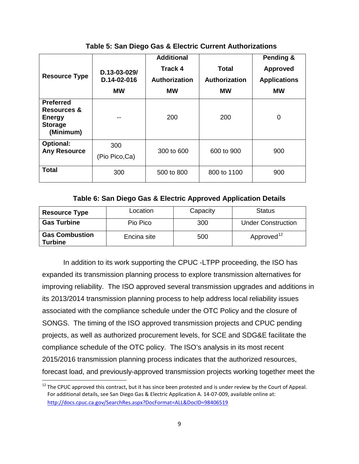| <b>Resource Type</b>                                                            | $D.13 - 03 - 029/$<br>D.14-02-016<br><b>MW</b> | <b>Additional</b><br><b>Track 4</b><br><b>Authorization</b><br><b>MW</b> | Total<br>Authorization<br><b>MW</b> | Pending &<br><b>Approved</b><br><b>Applications</b><br><b>MW</b> |
|---------------------------------------------------------------------------------|------------------------------------------------|--------------------------------------------------------------------------|-------------------------------------|------------------------------------------------------------------|
| <b>Preferred</b><br>Resources &<br><b>Energy</b><br><b>Storage</b><br>(Minimum) |                                                | 200                                                                      | 200                                 | 0                                                                |
| <b>Optional:</b><br><b>Any Resource</b>                                         | 300<br>(Pio Pico, Ca)                          | 300 to 600                                                               | 600 to 900                          | 900                                                              |
| <b>Total</b>                                                                    | 300                                            | 500 to 800                                                               | 800 to 1100                         | 900                                                              |

**Table 5: San Diego Gas & Electric Current Authorizations**

### **Table 6: San Diego Gas & Electric Approved Application Details**

| <b>Resource Type</b>                    | Location    | Capacity | <b>Status</b>             |
|-----------------------------------------|-------------|----------|---------------------------|
| <b>Gas Turbine</b>                      | Pio Pico    | 300      | <b>Under Construction</b> |
| <b>Gas Combustion</b><br><b>Turbine</b> | Encina site | 500      | Approved <sup>12</sup>    |

In addition to its work supporting the CPUC -LTPP proceeding, the ISO has expanded its transmission planning process to explore transmission alternatives for improving reliability. The ISO approved several transmission upgrades and additions in its 2013/2014 transmission planning process to help address local reliability issues associated with the compliance schedule under the OTC Policy and the closure of SONGS. The timing of the ISO approved transmission projects and CPUC pending projects, as well as authorized procurement levels, for SCE and SDG&E facilitate the compliance schedule of the OTC policy. The ISO's analysis in its most recent 2015/2016 transmission planning process indicates that the authorized resources, forecast load, and previously-approved transmission projects working together meet the

<span id="page-8-1"></span><span id="page-8-0"></span> $12$  The CPUC approved this contract, but it has since been protested and is under review by the Court of Appeal. For additional details, see San Diego Gas & Electric Application A. 14-07-009, available online at: <http://docs.cpuc.ca.gov/SearchRes.aspx?DocFormat=ALL&DocID=98406519>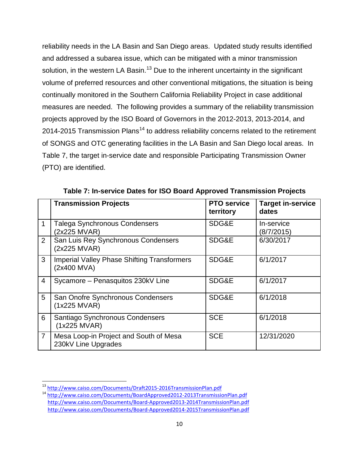reliability needs in the LA Basin and San Diego areas. Updated study results identified and addressed a subarea issue, which can be mitigated with a minor transmission solution, in the western LA Basin.<sup>[13](#page-9-0)</sup> Due to the inherent uncertainty in the significant volume of preferred resources and other conventional mitigations, the situation is being continually monitored in the Southern California Reliability Project in case additional measures are needed. The following provides a summary of the reliability transmission projects approved by the ISO Board of Governors in the 2012-2013, 2013-2014, and 20[14](#page-9-1)-2015 Transmission Plans<sup>14</sup> to address reliability concerns related to the retirement of SONGS and OTC generating facilities in the LA Basin and San Diego local areas. In Table 7, the target in-service date and responsible Participating Transmission Owner (PTO) are identified.

|                | <b>Transmission Projects</b>                                      | <b>PTO service</b><br>territory | <b>Target in-service</b><br>dates |
|----------------|-------------------------------------------------------------------|---------------------------------|-----------------------------------|
|                | <b>Talega Synchronous Condensers</b><br>(2x225 MVAR)              | SDG&E                           | In-service<br>(8/7/2015)          |
| $\overline{2}$ | San Luis Rey Synchronous Condensers<br>(2x225 MVAR)               | SDG&E                           | 6/30/2017                         |
| 3              | <b>Imperial Valley Phase Shifting Transformers</b><br>(2x400 MVA) | SDG&E                           | 6/1/2017                          |
| $\overline{4}$ | Sycamore - Penasquitos 230kV Line                                 | SDG&E                           | 6/1/2017                          |
| 5              | San Onofre Synchronous Condensers<br>$(1x225$ MVAR)               | SDG&E                           | 6/1/2018                          |
| 6              | Santiago Synchronous Condensers<br>$(1x225$ MVAR)                 | <b>SCE</b>                      | 6/1/2018                          |
| $\overline{7}$ | Mesa Loop-in Project and South of Mesa<br>230kV Line Upgrades     | <b>SCE</b>                      | 12/31/2020                        |

**Table 7: In-service Dates for ISO Board Approved Transmission Projects**

<span id="page-9-1"></span><span id="page-9-0"></span><sup>&</sup>lt;sup>13</sup> <http://www.caiso.com/Documents/Draft2015-2016TransmissionPlan.pdf><br><sup>14</sup> http://www.caiso.com/Documents/BoardApproved2012-2013TransmissionPlan.pdf

<http://www.caiso.com/Documents/Board-Approved2013-2014TransmissionPlan.pdf> <http://www.caiso.com/Documents/Board-Approved2014-2015TransmissionPlan.pdf>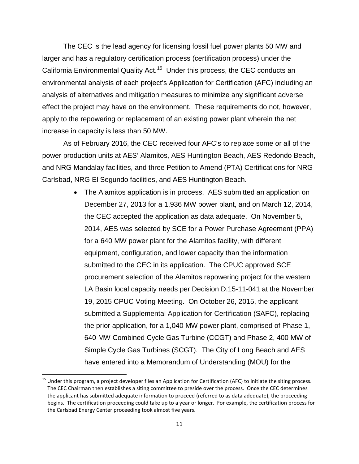The CEC is the lead agency for licensing fossil fuel power plants 50 MW and larger and has a regulatory certification process (certification process) under the California Environmental Quality Act.<sup>[15](#page-10-0)</sup> Under this process, the CEC conducts an environmental analysis of each project's Application for Certification (AFC) including an analysis of alternatives and mitigation measures to minimize any significant adverse effect the project may have on the environment. These requirements do not, however, apply to the repowering or replacement of an existing power plant wherein the net increase in capacity is less than 50 MW.

As of February 2016, the CEC received four AFC's to replace some or all of the power production units at AES' Alamitos, AES Huntington Beach, AES Redondo Beach, and NRG Mandalay facilities, and three Petition to Amend (PTA) Certifications for NRG Carlsbad, NRG El Segundo facilities, and AES Huntington Beach.

> • The Alamitos application is in process. AES submitted an application on December 27, 2013 for a 1,936 MW power plant, and on March 12, 2014, the CEC accepted the application as data adequate. On November 5, 2014, AES was selected by SCE for a Power Purchase Agreement (PPA) for a 640 MW power plant for the Alamitos facility, with different equipment, configuration, and lower capacity than the information submitted to the CEC in its application. The CPUC approved SCE procurement selection of the Alamitos repowering project for the western LA Basin local capacity needs per Decision D.15-11-041 at the November 19, 2015 CPUC Voting Meeting. On October 26, 2015, the applicant submitted a Supplemental Application for Certification (SAFC), replacing the prior application, for a 1,040 MW power plant, comprised of Phase 1, 640 MW Combined Cycle Gas Turbine (CCGT) and Phase 2, 400 MW of Simple Cycle Gas Turbines (SCGT). The City of Long Beach and AES have entered into a Memorandum of Understanding (MOU) for the

<span id="page-10-0"></span> $<sup>15</sup>$  Under this program, a project developer files an Application for Certification (AFC) to initiate the siting process.</sup> The CEC Chairman then establishes a siting committee to preside over the process. Once the CEC determines the applicant has submitted adequate information to proceed (referred to as data adequate), the proceeding begins. The certification proceeding could take up to a year or longer. For example, the certification process for the Carlsbad Energy Center proceeding took almost five years.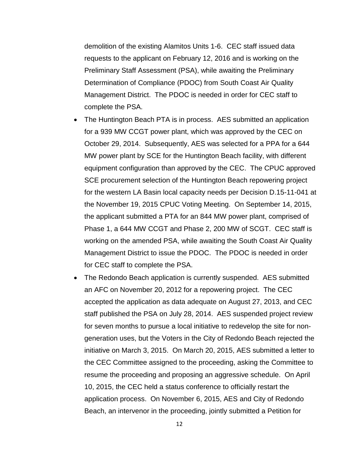demolition of the existing Alamitos Units 1-6. CEC staff issued data requests to the applicant on February 12, 2016 and is working on the Preliminary Staff Assessment (PSA), while awaiting the Preliminary Determination of Compliance (PDOC) from South Coast Air Quality Management District. The PDOC is needed in order for CEC staff to complete the PSA.

- The Huntington Beach PTA is in process. AES submitted an application for a 939 MW CCGT power plant, which was approved by the CEC on October 29, 2014. Subsequently, AES was selected for a PPA for a 644 MW power plant by SCE for the Huntington Beach facility, with different equipment configuration than approved by the CEC. The CPUC approved SCE procurement selection of the Huntington Beach repowering project for the western LA Basin local capacity needs per Decision D.15-11-041 at the November 19, 2015 CPUC Voting Meeting. On September 14, 2015, the applicant submitted a PTA for an 844 MW power plant, comprised of Phase 1, a 644 MW CCGT and Phase 2, 200 MW of SCGT. CEC staff is working on the amended PSA, while awaiting the South Coast Air Quality Management District to issue the PDOC. The PDOC is needed in order for CEC staff to complete the PSA.
- The Redondo Beach application is currently suspended. AES submitted an AFC on November 20, 2012 for a repowering project. The CEC accepted the application as data adequate on August 27, 2013, and CEC staff published the PSA on July 28, 2014. AES suspended project review for seven months to pursue a local initiative to redevelop the site for nongeneration uses, but the Voters in the City of Redondo Beach rejected the initiative on March 3, 2015. On March 20, 2015, AES submitted a letter to the CEC Committee assigned to the proceeding, asking the Committee to resume the proceeding and proposing an aggressive schedule. On April 10, 2015, the CEC held a status conference to officially restart the application process. On November 6, 2015, AES and City of Redondo Beach, an intervenor in the proceeding, jointly submitted a Petition for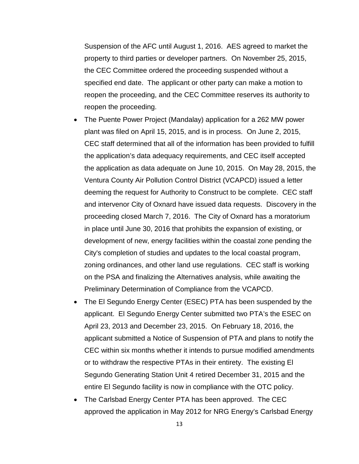Suspension of the AFC until August 1, 2016. AES agreed to market the property to third parties or developer partners. On November 25, 2015, the CEC Committee ordered the proceeding suspended without a specified end date. The applicant or other party can make a motion to reopen the proceeding, and the CEC Committee reserves its authority to reopen the proceeding.

- The Puente Power Project (Mandalay) application for a 262 MW power plant was filed on April 15, 2015, and is in process. On June 2, 2015, CEC staff determined that all of the information has been provided to fulfill the application's data adequacy requirements, and CEC itself accepted the application as data adequate on June 10, 2015. On May 28, 2015, the Ventura County Air Pollution Control District (VCAPCD) issued a letter deeming the request for Authority to Construct to be complete. CEC staff and intervenor City of Oxnard have issued data requests. Discovery in the proceeding closed March 7, 2016. The City of Oxnard has a moratorium in place until June 30, 2016 that prohibits the expansion of existing, or development of new, energy facilities within the coastal zone pending the City's completion of studies and updates to the local coastal program, zoning ordinances, and other land use regulations. CEC staff is working on the PSA and finalizing the Alternatives analysis, while awaiting the Preliminary Determination of Compliance from the VCAPCD.
- The El Segundo Energy Center (ESEC) PTA has been suspended by the applicant. El Segundo Energy Center submitted two PTA's the ESEC on April 23, 2013 and December 23, 2015. On February 18, 2016, the applicant submitted a Notice of Suspension of PTA and plans to notify the CEC within six months whether it intends to pursue modified amendments or to withdraw the respective PTAs in their entirety. The existing El Segundo Generating Station Unit 4 retired December 31, 2015 and the entire El Segundo facility is now in compliance with the OTC policy.
- The Carlsbad Energy Center PTA has been approved. The CEC approved the application in May 2012 for NRG Energy's Carlsbad Energy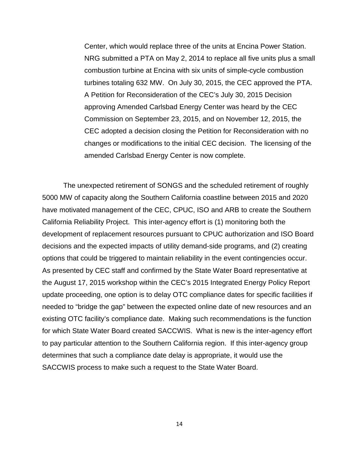Center, which would replace three of the units at Encina Power Station. NRG submitted a PTA on May 2, 2014 to replace all five units plus a small combustion turbine at Encina with six units of simple-cycle combustion turbines totaling 632 MW. On July 30, 2015, the CEC approved the PTA. A Petition for Reconsideration of the CEC's July 30, 2015 Decision approving Amended Carlsbad Energy Center was heard by the CEC Commission on September 23, 2015, and on November 12, 2015, the CEC adopted a decision closing the Petition for Reconsideration with no changes or modifications to the initial CEC decision. The licensing of the amended Carlsbad Energy Center is now complete.

The unexpected retirement of SONGS and the scheduled retirement of roughly 5000 MW of capacity along the Southern California coastline between 2015 and 2020 have motivated management of the CEC, CPUC, ISO and ARB to create the Southern California Reliability Project. This inter-agency effort is (1) monitoring both the development of replacement resources pursuant to CPUC authorization and ISO Board decisions and the expected impacts of utility demand-side programs, and (2) creating options that could be triggered to maintain reliability in the event contingencies occur. As presented by CEC staff and confirmed by the State Water Board representative at the August 17, 2015 workshop within the CEC's 2015 Integrated Energy Policy Report update proceeding, one option is to delay OTC compliance dates for specific facilities if needed to "bridge the gap" between the expected online date of new resources and an existing OTC facility's compliance date. Making such recommendations is the function for which State Water Board created SACCWIS. What is new is the inter-agency effort to pay particular attention to the Southern California region. If this inter-agency group determines that such a compliance date delay is appropriate, it would use the SACCWIS process to make such a request to the State Water Board.

14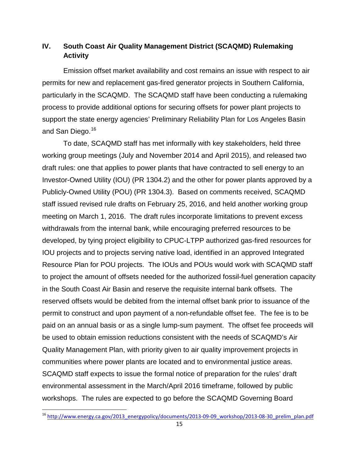# **IV. South Coast Air Quality Management District (SCAQMD) Rulemaking Activity**

Emission offset market availability and cost remains an issue with respect to air permits for new and replacement gas-fired generator projects in Southern California, particularly in the SCAQMD. The SCAQMD staff have been conducting a rulemaking process to provide additional options for securing offsets for power plant projects to support the state energy agencies' Preliminary Reliability Plan for Los Angeles Basin and San Diego.<sup>[16](#page-14-0)</sup>

To date, SCAQMD staff has met informally with key stakeholders, held three working group meetings (July and November 2014 and April 2015), and released two draft rules: one that applies to power plants that have contracted to sell energy to an Investor-Owned Utility (IOU) (PR 1304.2) and the other for power plants approved by a Publicly-Owned Utility (POU) (PR 1304.3). Based on comments received, SCAQMD staff issued revised rule drafts on February 25, 2016, and held another working group meeting on March 1, 2016. The draft rules incorporate limitations to prevent excess withdrawals from the internal bank, while encouraging preferred resources to be developed, by tying project eligibility to CPUC-LTPP authorized gas-fired resources for IOU projects and to projects serving native load, identified in an approved Integrated Resource Plan for POU projects. The IOUs and POUs would work with SCAQMD staff to project the amount of offsets needed for the authorized fossil-fuel generation capacity in the South Coast Air Basin and reserve the requisite internal bank offsets. The reserved offsets would be debited from the internal offset bank prior to issuance of the permit to construct and upon payment of a non-refundable offset fee. The fee is to be paid on an annual basis or as a single lump-sum payment. The offset fee proceeds will be used to obtain emission reductions consistent with the needs of SCAQMD's Air Quality Management Plan, with priority given to air quality improvement projects in communities where power plants are located and to environmental justice areas. SCAQMD staff expects to issue the formal notice of preparation for the rules' draft environmental assessment in the March/April 2016 timeframe, followed by public workshops. The rules are expected to go before the SCAQMD Governing Board

<span id="page-14-0"></span><sup>&</sup>lt;sup>16</sup> [http://www.energy.ca.gov/2013\\_energypolicy/documents/2013-09-09\\_workshop/2013-08-30\\_prelim\\_plan.pdf](http://www.energy.ca.gov/2013_energypolicy/documents/2013-09-09_workshop/2013-08-30_prelim_plan.pdf)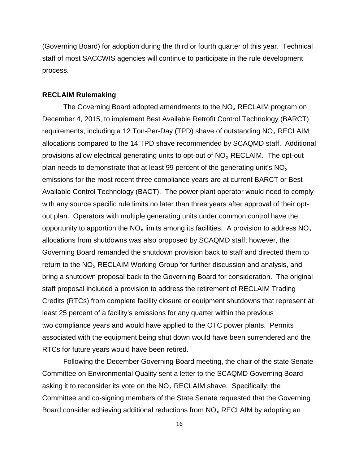(Governing Board) for adoption during the third or fourth quarter of this year. Technical staff of most SACCWIS agencies will continue to participate in the rule development process.

#### **RECLAIM Rulemaking**

The Governing Board adopted amendments to the  $NO<sub>x</sub>$  RECLAIM program on December 4, 2015, to implement Best Available Retrofit Control Technology (BARCT) requirements, including a 12 Ton-Per-Day (TPD) shave of outstanding  $NO<sub>x</sub> RECLAIM$ allocations compared to the 14 TPD shave recommended by SCAQMD staff. Additional provisions allow electrical generating units to opt-out of  $NO<sub>x</sub>$  RECLAIM. The opt-out plan needs to demonstrate that at least 99 percent of the generating unit's  $NO<sub>x</sub>$ emissions for the most recent three compliance years are at current BARCT or Best Available Control Technology (BACT). The power plant operator would need to comply with any source specific rule limits no later than three years after approval of their optout plan. Operators with multiple generating units under common control have the opportunity to apportion the  $NO_x$  limits among its facilities. A provision to address  $NO_x$ allocations from shutdowns was also proposed by SCAQMD staff; however, the Governing Board remanded the shutdown provision back to staff and directed them to return to the  $NO<sub>x</sub>$  RECLAIM Working Group for further discussion and analysis, and bring a shutdown proposal back to the Governing Board for consideration. The original staff proposal included a provision to address the retirement of RECLAIM Trading Credits (RTCs) from complete facility closure or equipment shutdowns that represent at least 25 percent of a facility's emissions for any quarter within the previous two compliance years and would have applied to the OTC power plants. Permits associated with the equipment being shut down would have been surrendered and the RTCs for future years would have been retired.

Following the December Governing Board meeting, the chair of the state Senate Committee on Environmental Quality sent a letter to the SCAQMD Governing Board asking it to reconsider its vote on the  $NO<sub>x</sub>$  RECLAIM shave. Specifically, the Committee and co-signing members of the State Senate requested that the Governing Board consider achieving additional reductions from  $NO<sub>x</sub> RECLAIM$  by adopting an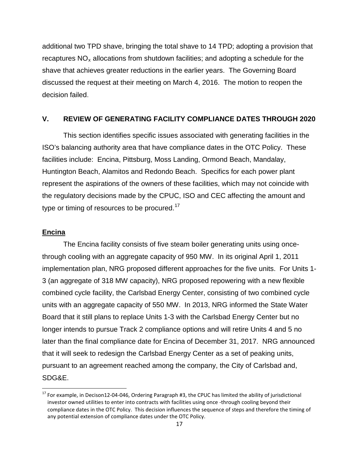additional two TPD shave, bringing the total shave to 14 TPD; adopting a provision that recaptures  $NO_x$  allocations from shutdown facilities; and adopting a schedule for the shave that achieves greater reductions in the earlier years. The Governing Board discussed the request at their meeting on March 4, 2016. The motion to reopen the decision failed.

## **V. REVIEW OF GENERATING FACILITY COMPLIANCE DATES THROUGH 2020**

This section identifies specific issues associated with generating facilities in the ISO's balancing authority area that have compliance dates in the OTC Policy. These facilities include: Encina, Pittsburg, Moss Landing, Ormond Beach, Mandalay, Huntington Beach, Alamitos and Redondo Beach. Specifics for each power plant represent the aspirations of the owners of these facilities, which may not coincide with the regulatory decisions made by the CPUC, ISO and CEC affecting the amount and type or timing of resources to be procured.<sup>[17](#page-16-0)</sup>

#### **Encina**

The Encina facility consists of five steam boiler generating units using oncethrough cooling with an aggregate capacity of 950 MW. In its original April 1, 2011 implementation plan, NRG proposed different approaches for the five units. For Units 1- 3 (an aggregate of 318 MW capacity), NRG proposed repowering with a new flexible combined cycle facility, the Carlsbad Energy Center, consisting of two combined cycle units with an aggregate capacity of 550 MW. In 2013, NRG informed the State Water Board that it still plans to replace Units 1-3 with the Carlsbad Energy Center but no longer intends to pursue Track 2 compliance options and will retire Units 4 and 5 no later than the final compliance date for Encina of December 31, 2017. NRG announced that it will seek to redesign the Carlsbad Energy Center as a set of peaking units, pursuant to an agreement reached among the company, the City of Carlsbad and, SDG&E.

<span id="page-16-0"></span> $17$  For example, in Decison12-04-046, Ordering Paragraph #3, the CPUC has limited the ability of jurisdictional investor owned utilities to enter into contracts with facilities using once -through cooling beyond their compliance dates in the OTC Policy. This decision influences the sequence of steps and therefore the timing of any potential extension of compliance dates under the OTC Policy.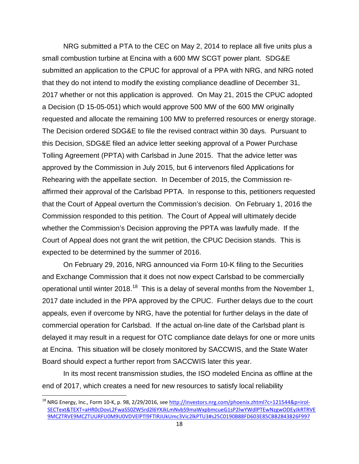NRG submitted a PTA to the CEC on May 2, 2014 to replace all five units plus a small combustion turbine at Encina with a 600 MW SCGT power plant. SDG&E submitted an application to the CPUC for approval of a PPA with NRG, and NRG noted that they do not intend to modify the existing compliance deadline of December 31, 2017 whether or not this application is approved. On May 21, 2015 the CPUC adopted a Decision (D 15-05-051) which would approve 500 MW of the 600 MW originally requested and allocate the remaining 100 MW to preferred resources or energy storage. The Decision ordered SDG&E to file the revised contract within 30 days. Pursuant to this Decision, SDG&E filed an advice letter seeking approval of a Power Purchase Tolling Agreement (PPTA) with Carlsbad in June 2015. That the advice letter was approved by the Commission in July 2015, but 6 intervenors filed Applications for Rehearing with the appellate section. In December of 2015, the Commission reaffirmed their approval of the Carlsbad PPTA. In response to this, petitioners requested that the Court of Appeal overturn the Commission's decision. On February 1, 2016 the Commission responded to this petition. The Court of Appeal will ultimately decide whether the Commission's Decision approving the PPTA was lawfully made. If the Court of Appeal does not grant the writ petition, the CPUC Decision stands. This is expected to be determined by the summer of 2016.

On February 29, 2016, NRG announced via Form 10-K filing to the Securities and Exchange Commission that it does not now expect Carlsbad to be commercially operational until winter 20[18](#page-17-0).<sup>18</sup> This is a delay of several months from the November 1, 2017 date included in the PPA approved by the CPUC. Further delays due to the court appeals, even if overcome by NRG, have the potential for further delays in the date of commercial operation for Carlsbad. If the actual on-line date of the Carlsbad plant is delayed it may result in a request for OTC compliance date delays for one or more units at Encina. This situation will be closely monitored by SACCWIS, and the State Water Board should expect a further report from SACCWIS later this year.

In its most recent transmission studies, the ISO modeled Encina as offline at the end of 2017, which creates a need for new resources to satisfy local reliability

<span id="page-17-0"></span><sup>&</sup>lt;sup>18</sup> NRG Energy, Inc., Form 10-K, p. 98, 2/29/2016, see [http://investors.nrg.com/phoenix.zhtml?c=121544&p=irol-](http://investors.nrg.com/phoenix.zhtml?c=121544&p=irol-SECText&TEXT=aHR0cDovL2FwaS50ZW5rd2l6YXJkLmNvbS9maWxpbmcueG1sP2lwYWdlPTEwNzgwODEyJkRTRVE9MCZTRVE9MCZTUURFU0M9U0VDVElPTl9FTlRJUkUmc3Vic2lkPTU3#s25C0190B88FD603E85CBB2843826F997)[SECText&TEXT=aHR0cDovL2FwaS50ZW5rd2l6YXJkLmNvbS9maWxpbmcueG1sP2lwYWdlPTEwNzgwODEyJkRTRVE](http://investors.nrg.com/phoenix.zhtml?c=121544&p=irol-SECText&TEXT=aHR0cDovL2FwaS50ZW5rd2l6YXJkLmNvbS9maWxpbmcueG1sP2lwYWdlPTEwNzgwODEyJkRTRVE9MCZTRVE9MCZTUURFU0M9U0VDVElPTl9FTlRJUkUmc3Vic2lkPTU3#s25C0190B88FD603E85CBB2843826F997) [9MCZTRVE9MCZTUURFU0M9U0VDVElPTl9FTlRJUkUmc3Vic2lkPTU3#s25C0190B88FD603E85CBB2843826F997](http://investors.nrg.com/phoenix.zhtml?c=121544&p=irol-SECText&TEXT=aHR0cDovL2FwaS50ZW5rd2l6YXJkLmNvbS9maWxpbmcueG1sP2lwYWdlPTEwNzgwODEyJkRTRVE9MCZTRVE9MCZTUURFU0M9U0VDVElPTl9FTlRJUkUmc3Vic2lkPTU3#s25C0190B88FD603E85CBB2843826F997)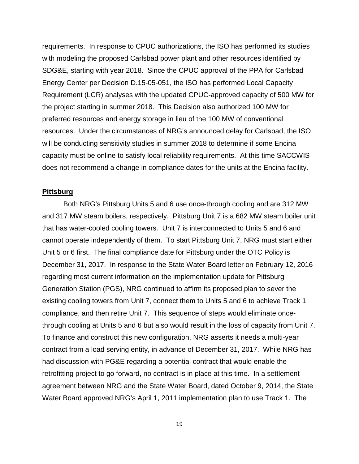requirements. In response to CPUC authorizations, the ISO has performed its studies with modeling the proposed Carlsbad power plant and other resources identified by SDG&E, starting with year 2018. Since the CPUC approval of the PPA for Carlsbad Energy Center per Decision D.15-05-051, the ISO has performed Local Capacity Requirement (LCR) analyses with the updated CPUC-approved capacity of 500 MW for the project starting in summer 2018. This Decision also authorized 100 MW for preferred resources and energy storage in lieu of the 100 MW of conventional resources. Under the circumstances of NRG's announced delay for Carlsbad, the ISO will be conducting sensitivity studies in summer 2018 to determine if some Encina capacity must be online to satisfy local reliability requirements. At this time SACCWIS does not recommend a change in compliance dates for the units at the Encina facility.

#### **Pittsburg**

Both NRG's Pittsburg Units 5 and 6 use once-through cooling and are 312 MW and 317 MW steam boilers, respectively. Pittsburg Unit 7 is a 682 MW steam boiler unit that has water-cooled cooling towers. Unit 7 is interconnected to Units 5 and 6 and cannot operate independently of them. To start Pittsburg Unit 7, NRG must start either Unit 5 or 6 first. The final compliance date for Pittsburg under the OTC Policy is December 31, 2017. In response to the State Water Board letter on February 12, 2016 regarding most current information on the implementation update for Pittsburg Generation Station (PGS), NRG continued to affirm its proposed plan to sever the existing cooling towers from Unit 7, connect them to Units 5 and 6 to achieve Track 1 compliance, and then retire Unit 7. This sequence of steps would eliminate oncethrough cooling at Units 5 and 6 but also would result in the loss of capacity from Unit 7. To finance and construct this new configuration, NRG asserts it needs a multi-year contract from a load serving entity, in advance of December 31, 2017. While NRG has had discussion with PG&E regarding a potential contract that would enable the retrofitting project to go forward, no contract is in place at this time. In a settlement agreement between NRG and the State Water Board, dated October 9, 2014, the State Water Board approved NRG's April 1, 2011 implementation plan to use Track 1. The

19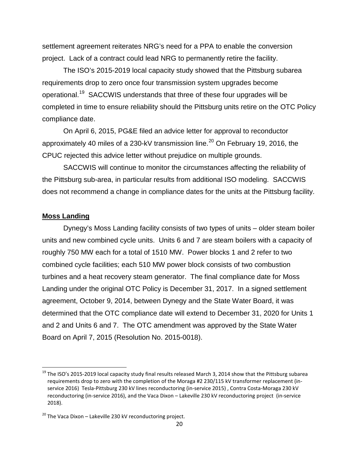settlement agreement reiterates NRG's need for a PPA to enable the conversion project. Lack of a contract could lead NRG to permanently retire the facility.

The ISO's 2015-2019 local capacity study showed that the Pittsburg subarea requirements drop to zero once four transmission system upgrades become operational.<sup>[19](#page-19-0)</sup> SACCWIS understands that three of these four upgrades will be completed in time to ensure reliability should the Pittsburg units retire on the OTC Policy compliance date.

On April 6, 2015, PG&E filed an advice letter for approval to reconductor approximately 40 miles of a 230-kV transmission line.<sup>[20](#page-19-1)</sup> On February 19, 2016, the CPUC rejected this advice letter without prejudice on multiple grounds.

SACCWIS will continue to monitor the circumstances affecting the reliability of the Pittsburg sub-area, in particular results from additional ISO modeling. SACCWIS does not recommend a change in compliance dates for the units at the Pittsburg facility.

## **Moss Landing**

Dynegy's Moss Landing facility consists of two types of units – older steam boiler units and new combined cycle units. Units 6 and 7 are steam boilers with a capacity of roughly 750 MW each for a total of 1510 MW. Power blocks 1 and 2 refer to two combined cycle facilities; each 510 MW power block consists of two combustion turbines and a heat recovery steam generator. The final compliance date for Moss Landing under the original OTC Policy is December 31, 2017. In a signed settlement agreement, October 9, 2014, between Dynegy and the State Water Board, it was determined that the OTC compliance date will extend to December 31, 2020 for Units 1 and 2 and Units 6 and 7. The OTC amendment was approved by the State Water Board on April 7, 2015 (Resolution No. 2015-0018).

<span id="page-19-0"></span> $19$  The ISO's 2015-2019 local capacity study final results released March 3, 2014 show that the Pittsburg subarea requirements drop to zero with the completion of the Moraga #2 230/115 kV transformer replacement (inservice 2016) Tesla-Pittsburg 230 kV lines reconductoring (in-service 2015) , Contra Costa-Moraga 230 kV reconductoring (in-service 2016), and the Vaca Dixon – Lakeville 230 kV reconductoring project (in-service 2018).

<span id="page-19-1"></span> $20$  The Vaca Dixon – Lakeville 230 kV reconductoring project.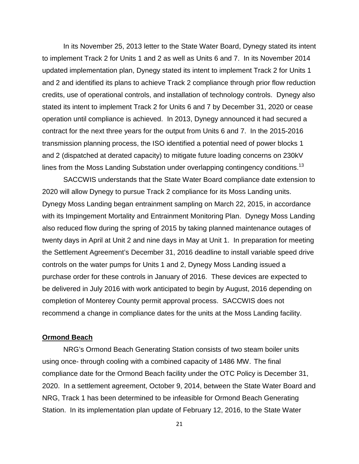In its November 25, 2013 letter to the State Water Board, Dynegy stated its intent to implement Track 2 for Units 1 and 2 as well as Units 6 and 7. In its November 2014 updated implementation plan, Dynegy stated its intent to implement Track 2 for Units 1 and 2 and identified its plans to achieve Track 2 compliance through prior flow reduction credits, use of operational controls, and installation of technology controls. Dynegy also stated its intent to implement Track 2 for Units 6 and 7 by December 31, 2020 or cease operation until compliance is achieved. In 2013, Dynegy announced it had secured a contract for the next three years for the output from Units 6 and 7. In the 2015-2016 transmission planning process, the ISO identified a potential need of power blocks 1 and 2 (dispatched at derated capacity) to mitigate future loading concerns on 230kV lines from the Moss Landing Substation under overlapping contingency conditions. $^{13}$ 

SACCWIS understands that the State Water Board compliance date extension to 2020 will allow Dynegy to pursue Track 2 compliance for its Moss Landing units. Dynegy Moss Landing began entrainment sampling on March 22, 2015, in accordance with its Impingement Mortality and Entrainment Monitoring Plan. Dynegy Moss Landing also reduced flow during the spring of 2015 by taking planned maintenance outages of twenty days in April at Unit 2 and nine days in May at Unit 1. In preparation for meeting the Settlement Agreement's December 31, 2016 deadline to install variable speed drive controls on the water pumps for Units 1 and 2, Dynegy Moss Landing issued a purchase order for these controls in January of 2016. These devices are expected to be delivered in July 2016 with work anticipated to begin by August, 2016 depending on completion of Monterey County permit approval process. SACCWIS does not recommend a change in compliance dates for the units at the Moss Landing facility.

#### **Ormond Beach**

NRG's Ormond Beach Generating Station consists of two steam boiler units using once- through cooling with a combined capacity of 1486 MW. The final compliance date for the Ormond Beach facility under the OTC Policy is December 31, 2020. In a settlement agreement, October 9, 2014, between the State Water Board and NRG, Track 1 has been determined to be infeasible for Ormond Beach Generating Station. In its implementation plan update of February 12, 2016, to the State Water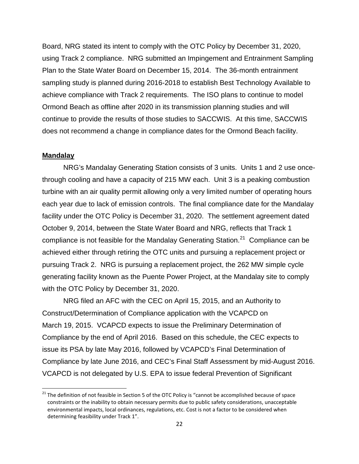Board, NRG stated its intent to comply with the OTC Policy by December 31, 2020, using Track 2 compliance. NRG submitted an Impingement and Entrainment Sampling Plan to the State Water Board on December 15, 2014. The 36-month entrainment sampling study is planned during 2016-2018 to establish Best Technology Available to achieve compliance with Track 2 requirements. The ISO plans to continue to model Ormond Beach as offline after 2020 in its transmission planning studies and will continue to provide the results of those studies to SACCWIS. At this time, SACCWIS does not recommend a change in compliance dates for the Ormond Beach facility.

## **Mandalay**

NRG's Mandalay Generating Station consists of 3 units. Units 1 and 2 use oncethrough cooling and have a capacity of 215 MW each. Unit 3 is a peaking combustion turbine with an air quality permit allowing only a very limited number of operating hours each year due to lack of emission controls. The final compliance date for the Mandalay facility under the OTC Policy is December 31, 2020. The settlement agreement dated October 9, 2014, between the State Water Board and NRG, reflects that Track 1 compliance is not feasible for the Mandalay Generating Station.<sup>[21](#page-21-0)</sup> Compliance can be achieved either through retiring the OTC units and pursuing a replacement project or pursuing Track 2. NRG is pursuing a replacement project, the 262 MW simple cycle generating facility known as the Puente Power Project, at the Mandalay site to comply with the OTC Policy by December 31, 2020.

NRG filed an AFC with the CEC on April 15, 2015, and an Authority to Construct/Determination of Compliance application with the VCAPCD on March 19, 2015. VCAPCD expects to issue the Preliminary Determination of Compliance by the end of April 2016. Based on this schedule, the CEC expects to issue its PSA by late May 2016, followed by VCAPCD's Final Determination of Compliance by late June 2016, and CEC's Final Staff Assessment by mid-August 2016. VCAPCD is not delegated by U.S. EPA to issue federal Prevention of Significant

<span id="page-21-0"></span><sup>&</sup>lt;sup>21</sup> The definition of not feasible in Section 5 of the OTC Policy is "cannot be accomplished because of space constraints or the inability to obtain necessary permits due to public safety considerations, unacceptable environmental impacts, local ordinances, regulations, etc. Cost is not a factor to be considered when determining feasibility under Track 1".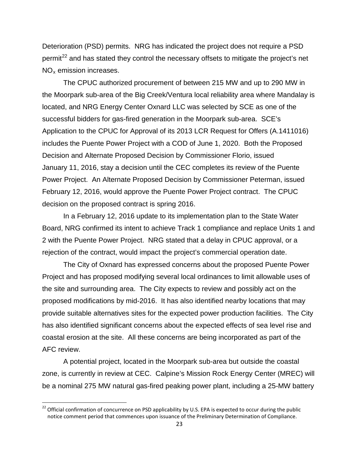Deterioration (PSD) permits. NRG has indicated the project does not require a PSD permit<sup>[22](#page-22-0)</sup> and has stated they control the necessary offsets to mitigate the project's net  $NO<sub>x</sub>$  emission increases.

The CPUC authorized procurement of between 215 MW and up to 290 MW in the Moorpark sub-area of the Big Creek/Ventura local reliability area where Mandalay is located, and NRG Energy Center Oxnard LLC was selected by SCE as one of the successful bidders for gas-fired generation in the Moorpark sub-area. SCE's Application to the CPUC for Approval of its 2013 LCR Request for Offers (A.1411016) includes the Puente Power Project with a COD of June 1, 2020. Both the Proposed Decision and Alternate Proposed Decision by Commissioner Florio, issued January 11, 2016, stay a decision until the CEC completes its review of the Puente Power Project. An Alternate Proposed Decision by Commissioner Peterman, issued February 12, 2016, would approve the Puente Power Project contract. The CPUC decision on the proposed contract is spring 2016.

In a February 12, 2016 update to its implementation plan to the State Water Board, NRG confirmed its intent to achieve Track 1 compliance and replace Units 1 and 2 with the Puente Power Project. NRG stated that a delay in CPUC approval, or a rejection of the contract, would impact the project's commercial operation date.

The City of Oxnard has expressed concerns about the proposed Puente Power Project and has proposed modifying several local ordinances to limit allowable uses of the site and surrounding area. The City expects to review and possibly act on the proposed modifications by mid-2016. It has also identified nearby locations that may provide suitable alternatives sites for the expected power production facilities. The City has also identified significant concerns about the expected effects of sea level rise and coastal erosion at the site. All these concerns are being incorporated as part of the AFC review.

A potential project, located in the Moorpark sub-area but outside the coastal zone, is currently in review at CEC. Calpine's Mission Rock Energy Center (MREC) will be a nominal 275 MW natural gas-fired peaking power plant, including a 25-MW battery

<span id="page-22-0"></span><sup>&</sup>lt;sup>22</sup> Official confirmation of concurrence on PSD applicability by U.S. EPA is expected to occur during the public notice comment period that commences upon issuance of the Preliminary Determination of Compliance.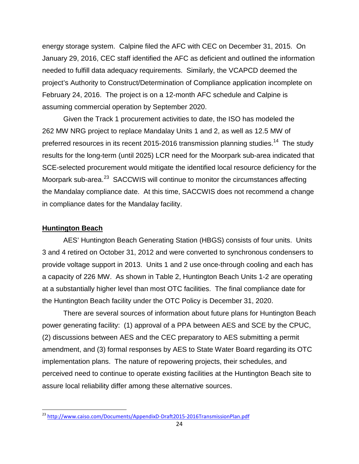energy storage system. Calpine filed the AFC with CEC on December 31, 2015. On January 29, 2016, CEC staff identified the AFC as deficient and outlined the information needed to fulfill data adequacy requirements. Similarly, the VCAPCD deemed the project's Authority to Construct/Determination of Compliance application incomplete on February 24, 2016. The project is on a 12-month AFC schedule and Calpine is assuming commercial operation by September 2020.

Given the Track 1 procurement activities to date, the ISO has modeled the 262 MW NRG project to replace Mandalay Units 1 and 2, as well as 12.5 MW of preferred resources in its recent 2015-2016 transmission planning studies.<sup>14</sup> The study results for the long-term (until 2025) LCR need for the Moorpark sub-area indicated that SCE-selected procurement would mitigate the identified local resource deficiency for the Moorpark sub-area.<sup>[23](#page-23-0)</sup> SACCWIS will continue to monitor the circumstances affecting the Mandalay compliance date. At this time, SACCWIS does not recommend a change in compliance dates for the Mandalay facility.

#### **Huntington Beach**

AES' Huntington Beach Generating Station (HBGS) consists of four units. Units 3 and 4 retired on October 31, 2012 and were converted to synchronous condensers to provide voltage support in 2013. Units 1 and 2 use once-through cooling and each has a capacity of 226 MW. As shown in Table 2, Huntington Beach Units 1-2 are operating at a substantially higher level than most OTC facilities. The final compliance date for the Huntington Beach facility under the OTC Policy is December 31, 2020.

There are several sources of information about future plans for Huntington Beach power generating facility: (1) approval of a PPA between AES and SCE by the CPUC, (2) discussions between AES and the CEC preparatory to AES submitting a permit amendment, and (3) formal responses by AES to State Water Board regarding its OTC implementation plans. The nature of repowering projects, their schedules, and perceived need to continue to operate existing facilities at the Huntington Beach site to assure local reliability differ among these alternative sources.

<span id="page-23-0"></span> <sup>23</sup> <http://www.caiso.com/Documents/AppendixD-Draft2015-2016TransmissionPlan.pdf>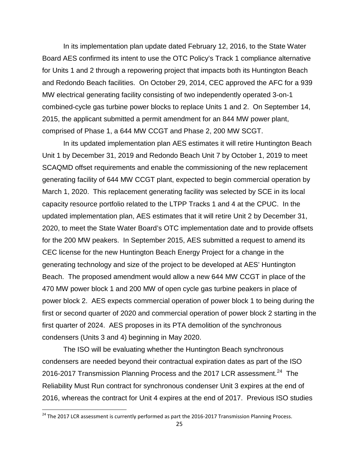In its implementation plan update dated February 12, 2016, to the State Water Board AES confirmed its intent to use the OTC Policy's Track 1 compliance alternative for Units 1 and 2 through a repowering project that impacts both its Huntington Beach and Redondo Beach facilities. On October 29, 2014, CEC approved the AFC for a 939 MW electrical generating facility consisting of two independently operated 3-on-1 combined-cycle gas turbine power blocks to replace Units 1 and 2. On September 14, 2015, the applicant submitted a permit amendment for an 844 MW power plant, comprised of Phase 1, a 644 MW CCGT and Phase 2, 200 MW SCGT.

In its updated implementation plan AES estimates it will retire Huntington Beach Unit 1 by December 31, 2019 and Redondo Beach Unit 7 by October 1, 2019 to meet SCAQMD offset requirements and enable the commissioning of the new replacement generating facility of 644 MW CCGT plant, expected to begin commercial operation by March 1, 2020. This replacement generating facility was selected by SCE in its local capacity resource portfolio related to the LTPP Tracks 1 and 4 at the CPUC. In the updated implementation plan, AES estimates that it will retire Unit 2 by December 31, 2020, to meet the State Water Board's OTC implementation date and to provide offsets for the 200 MW peakers. In September 2015, AES submitted a request to amend its CEC license for the new Huntington Beach Energy Project for a change in the generating technology and size of the project to be developed at AES' Huntington Beach. The proposed amendment would allow a new 644 MW CCGT in place of the 470 MW power block 1 and 200 MW of open cycle gas turbine peakers in place of power block 2. AES expects commercial operation of power block 1 to being during the first or second quarter of 2020 and commercial operation of power block 2 starting in the first quarter of 2024. AES proposes in its PTA demolition of the synchronous condensers (Units 3 and 4) beginning in May 2020.

The ISO will be evaluating whether the Huntington Beach synchronous condensers are needed beyond their contractual expiration dates as part of the ISO 2016-2017 Transmission Planning Process and the 2017 LCR assessment.<sup>24</sup> The Reliability Must Run contract for synchronous condenser Unit 3 expires at the end of 2016, whereas the contract for Unit 4 expires at the end of 2017. Previous ISO studies

<span id="page-24-0"></span><sup>&</sup>lt;sup>24</sup> The 2017 LCR assessment is currently performed as part the 2016-2017 Transmission Planning Process.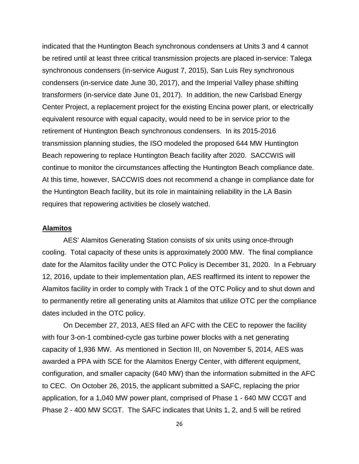indicated that the Huntington Beach synchronous condensers at Units 3 and 4 cannot be retired until at least three critical transmission projects are placed in-service: Talega synchronous condensers (in-service August 7, 2015), San Luis Rey synchronous condensers (in-service date June 30, 2017), and the Imperial Valley phase shifting transformers (in-service date June 01, 2017). In addition, the new Carlsbad Energy Center Project, a replacement project for the existing Encina power plant, or electrically equivalent resource with equal capacity, would need to be in service prior to the retirement of Huntington Beach synchronous condensers. In its 2015-2016 transmission planning studies, the ISO modeled the proposed 644 MW Huntington Beach repowering to replace Huntington Beach facility after 2020. SACCWIS will continue to monitor the circumstances affecting the Huntington Beach compliance date. At this time, however, SACCWIS does not recommend a change in compliance date for the Huntington Beach facility, but its role in maintaining reliability in the LA Basin requires that repowering activities be closely watched.

#### **Alamitos**

AES' Alamitos Generating Station consists of six units using once-through cooling. Total capacity of these units is approximately 2000 MW. The final compliance date for the Alamitos facility under the OTC Policy is December 31, 2020. In a February 12, 2016, update to their implementation plan, AES reaffirmed its intent to repower the Alamitos facility in order to comply with Track 1 of the OTC Policy and to shut down and to permanently retire all generating units at Alamitos that utilize OTC per the compliance dates included in the OTC policy.

On December 27, 2013, AES filed an AFC with the CEC to repower the facility with four 3-on-1 combined-cycle gas turbine power blocks with a net generating capacity of 1,936 MW. As mentioned in Section III, on November 5, 2014, AES was awarded a PPA with SCE for the Alamitos Energy Center, with different equipment, configuration, and smaller capacity (640 MW) than the information submitted in the AFC to CEC. On October 26, 2015, the applicant submitted a SAFC, replacing the prior application, for a 1,040 MW power plant, comprised of Phase 1 - 640 MW CCGT and Phase 2 - 400 MW SCGT. The SAFC indicates that Units 1, 2, and 5 will be retired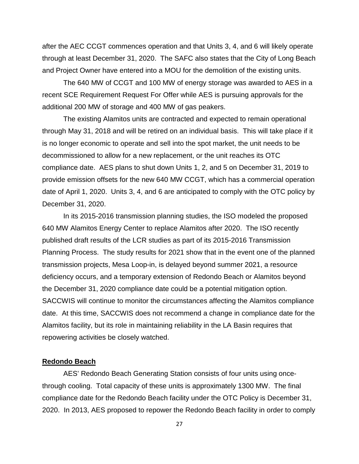after the AEC CCGT commences operation and that Units 3, 4, and 6 will likely operate through at least December 31, 2020. The SAFC also states that the City of Long Beach and Project Owner have entered into a MOU for the demolition of the existing units.

The 640 MW of CCGT and 100 MW of energy storage was awarded to AES in a recent SCE Requirement Request For Offer while AES is pursuing approvals for the additional 200 MW of storage and 400 MW of gas peakers.

The existing Alamitos units are contracted and expected to remain operational through May 31, 2018 and will be retired on an individual basis. This will take place if it is no longer economic to operate and sell into the spot market, the unit needs to be decommissioned to allow for a new replacement, or the unit reaches its OTC compliance date. AES plans to shut down Units 1, 2, and 5 on December 31, 2019 to provide emission offsets for the new 640 MW CCGT, which has a commercial operation date of April 1, 2020. Units 3, 4, and 6 are anticipated to comply with the OTC policy by December 31, 2020.

In its 2015-2016 transmission planning studies, the ISO modeled the proposed 640 MW Alamitos Energy Center to replace Alamitos after 2020. The ISO recently published draft results of the LCR studies as part of its 2015-2016 Transmission Planning Process. The study results for 2021 show that in the event one of the planned transmission projects, Mesa Loop-in, is delayed beyond summer 2021, a resource deficiency occurs, and a temporary extension of Redondo Beach or Alamitos beyond the December 31, 2020 compliance date could be a potential mitigation option. SACCWIS will continue to monitor the circumstances affecting the Alamitos compliance date. At this time, SACCWIS does not recommend a change in compliance date for the Alamitos facility, but its role in maintaining reliability in the LA Basin requires that repowering activities be closely watched.

## **Redondo Beach**

AES' Redondo Beach Generating Station consists of four units using oncethrough cooling. Total capacity of these units is approximately 1300 MW. The final compliance date for the Redondo Beach facility under the OTC Policy is December 31, 2020. In 2013, AES proposed to repower the Redondo Beach facility in order to comply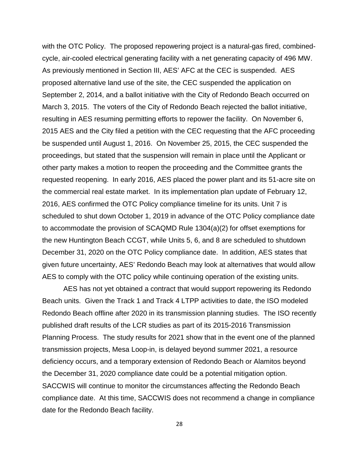with the OTC Policy. The proposed repowering project is a natural-gas fired, combinedcycle, air-cooled electrical generating facility with a net generating capacity of 496 MW. As previously mentioned in Section III, AES' AFC at the CEC is suspended. AES proposed alternative land use of the site, the CEC suspended the application on September 2, 2014, and a ballot initiative with the City of Redondo Beach occurred on March 3, 2015. The voters of the City of Redondo Beach rejected the ballot initiative, resulting in AES resuming permitting efforts to repower the facility. On November 6, 2015 AES and the City filed a petition with the CEC requesting that the AFC proceeding be suspended until August 1, 2016. On November 25, 2015, the CEC suspended the proceedings, but stated that the suspension will remain in place until the Applicant or other party makes a motion to reopen the proceeding and the Committee grants the requested reopening. In early 2016, AES placed the power plant and its 51-acre site on the commercial real estate market. In its implementation plan update of February 12, 2016, AES confirmed the OTC Policy compliance timeline for its units. Unit 7 is scheduled to shut down October 1, 2019 in advance of the OTC Policy compliance date to accommodate the provision of SCAQMD Rule 1304(a)(2) for offset exemptions for the new Huntington Beach CCGT, while Units 5, 6, and 8 are scheduled to shutdown December 31, 2020 on the OTC Policy compliance date. In addition, AES states that given future uncertainty, AES' Redondo Beach may look at alternatives that would allow AES to comply with the OTC policy while continuing operation of the existing units.

AES has not yet obtained a contract that would support repowering its Redondo Beach units. Given the Track 1 and Track 4 LTPP activities to date, the ISO modeled Redondo Beach offline after 2020 in its transmission planning studies. The ISO recently published draft results of the LCR studies as part of its 2015-2016 Transmission Planning Process. The study results for 2021 show that in the event one of the planned transmission projects, Mesa Loop-in, is delayed beyond summer 2021, a resource deficiency occurs, and a temporary extension of Redondo Beach or Alamitos beyond the December 31, 2020 compliance date could be a potential mitigation option. SACCWIS will continue to monitor the circumstances affecting the Redondo Beach compliance date. At this time, SACCWIS does not recommend a change in compliance date for the Redondo Beach facility.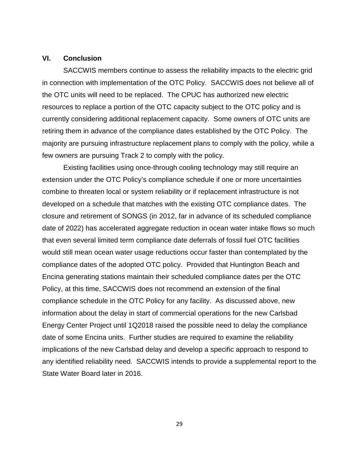# **VI. Conclusion**

SACCWIS members continue to assess the reliability impacts to the electric grid in connection with implementation of the OTC Policy. SACCWIS does not believe all of the OTC units will need to be replaced. The CPUC has authorized new electric resources to replace a portion of the OTC capacity subject to the OTC policy and is currently considering additional replacement capacity. Some owners of OTC units are retiring them in advance of the compliance dates established by the OTC Policy. The majority are pursuing infrastructure replacement plans to comply with the policy, while a few owners are pursuing Track 2 to comply with the policy.

Existing facilities using once-through cooling technology may still require an extension under the OTC Policy's compliance schedule if one or more uncertainties combine to threaten local or system reliability or if replacement infrastructure is not developed on a schedule that matches with the existing OTC compliance dates. The closure and retirement of SONGS (in 2012, far in advance of its scheduled compliance date of 2022) has accelerated aggregate reduction in ocean water intake flows so much that even several limited term compliance date deferrals of fossil fuel OTC facilities would still mean ocean water usage reductions occur faster than contemplated by the compliance dates of the adopted OTC policy. Provided that Huntington Beach and Encina generating stations maintain their scheduled compliance dates per the OTC Policy, at this time, SACCWIS does not recommend an extension of the final compliance schedule in the OTC Policy for any facility. As discussed above, new information about the delay in start of commercial operations for the new Carlsbad Energy Center Project until 1Q2018 raised the possible need to delay the compliance date of some Encina units. Further studies are required to examine the reliability implications of the new Carlsbad delay and develop a specific approach to respond to any identified reliability need. SACCWIS intends to provide a supplemental report to the State Water Board later in 2016.

29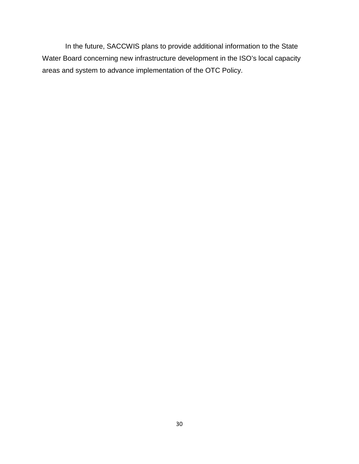In the future, SACCWIS plans to provide additional information to the State Water Board concerning new infrastructure development in the ISO's local capacity areas and system to advance implementation of the OTC Policy.